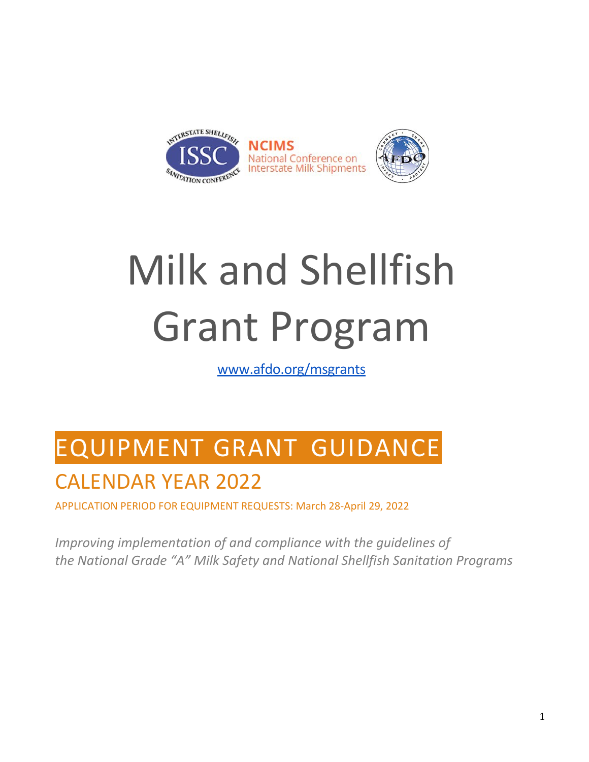

# Milk and Shellfish Grant Program

[www.afdo.org/msgrants](http://www.afdo.org/msgrants)

# EQUIPMENT GRANT GUIDANCE

# CALENDAR YEAR 2022

APPLICATION PERIOD FOR EQUIPMENT REQUESTS: March 28-April 29, 2022

*Improving implementation of and compliance with the guidelines of the National Grade "A" Milk Safety and National Shellfish Sanitation Programs*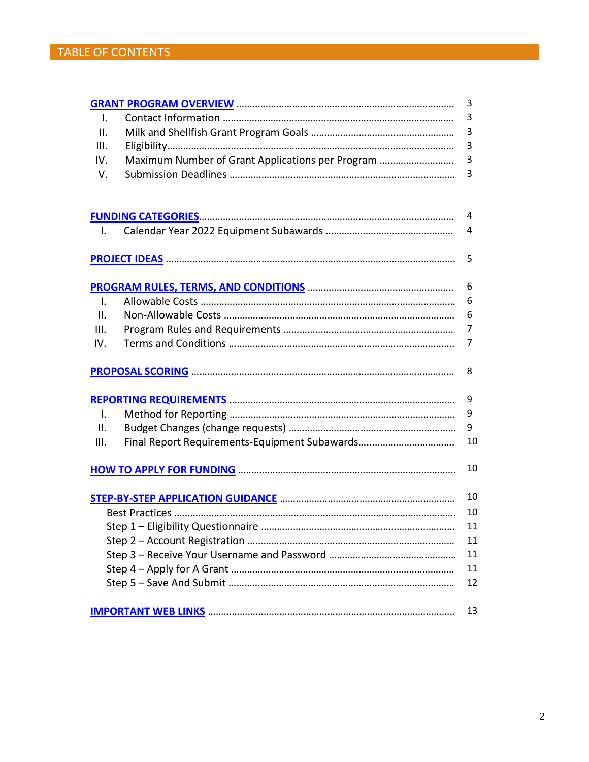|                |                                                  | 3  |
|----------------|--------------------------------------------------|----|
| I.             |                                                  | 3  |
| Ⅱ.             |                                                  | 3  |
| Ш.             |                                                  | 3  |
| IV.            | Maximum Number of Grant Applications per Program | 3  |
| V.             |                                                  | 3  |
|                |                                                  |    |
|                |                                                  | 4  |
| Ι.             |                                                  | 4  |
|                |                                                  |    |
|                |                                                  | 5  |
|                |                                                  |    |
|                |                                                  | 6  |
| $\mathbf{I}$ . |                                                  | 6  |
| $\Pi$ .        |                                                  | 6  |
| III.           |                                                  | 7  |
| IV.            |                                                  | 7  |
|                |                                                  |    |
|                |                                                  | 9  |
| $\mathbf{I}$ . |                                                  | 9  |
| II.            |                                                  | 9  |
| III.           |                                                  | 10 |
|                |                                                  | 10 |
|                |                                                  |    |
|                |                                                  |    |
|                |                                                  |    |
|                |                                                  |    |
|                |                                                  | 11 |
|                |                                                  | 11 |
|                |                                                  | 12 |
|                |                                                  | 13 |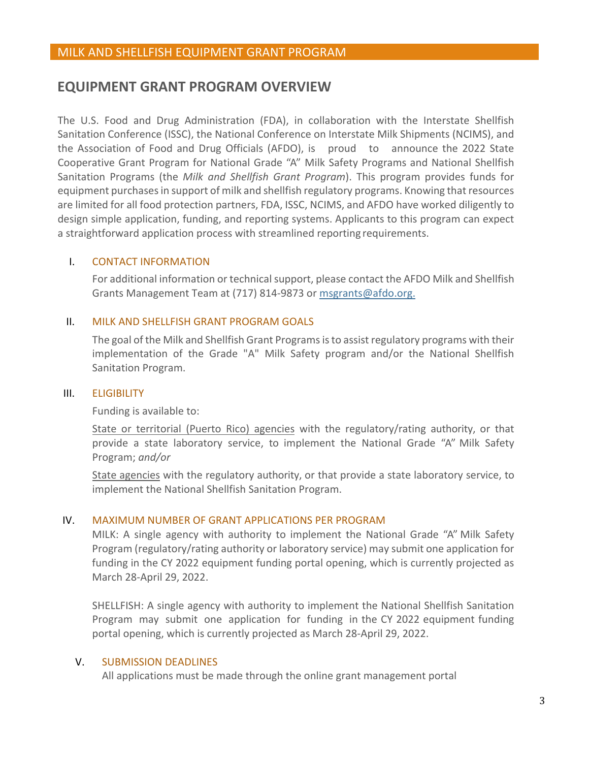# <span id="page-2-0"></span>**EQUIPMENT GRANT PROGRAM OVERVIEW**

The U.S. Food and Drug Administration (FDA), in collaboration with the Interstate Shellfish Sanitation Conference (ISSC), the National Conference on Interstate Milk Shipments (NCIMS), and the Association of Food and Drug Officials (AFDO), is proud to announce the 2022 State Cooperative Grant Program for National Grade "A" Milk Safety Programs and National Shellfish Sanitation Programs (the *Milk and Shellfish Grant Program*). This program provides funds for equipment purchases in support of milk and shellfish regulatory programs. Knowing that resources are limited for all food protection partners, FDA, ISSC, NCIMS, and AFDO have worked diligently to design simple application, funding, and reporting systems. Applicants to this program can expect a straightforward application process with streamlined reporting requirements.

# <span id="page-2-1"></span>I. CONTACT INFORMATION

For additional information or technical support, please contact the AFDO Milk and Shellfish Grants Management Team at (717) 814-9873 or [msgrants@afdo.org.](mailto:msgrants@afdo.org)

# <span id="page-2-2"></span>II. MILK AND SHELLFISH GRANT PROGRAM GOALS

The goal of the Milk and Shellfish Grant Programs is to assist regulatory programs with their implementation of the Grade "A" Milk Safety program and/or the National Shellfish Sanitation Program.

#### <span id="page-2-3"></span>III. ELIGIBILITY

Funding is available to:

State or territorial (Puerto Rico) agencies with the regulatory/rating authority, or that provide a state laboratory service, to implement the National Grade "A" Milk Safety Program; *and/or*

State agencies with the regulatory authority, or that provide a state laboratory service, to implement the National Shellfish Sanitation Program.

# <span id="page-2-4"></span>IV. MAXIMUM NUMBER OF GRANT APPLICATIONS PER PROGRAM

MILK: A single agency with authority to implement the National Grade "A" Milk Safety Program (regulatory/rating authority or laboratory service) may submit one application for funding in the CY 2022 equipment funding portal opening, which is currently projected as March 28-April 29, 2022.

SHELLFISH: A single agency with authority to implement the National Shellfish Sanitation Program may submit one application for funding in the CY 2022 equipment funding portal opening, which is currently projected as March 28-April 29, 2022.

# <span id="page-2-5"></span>V. SUBMISSION DEADLINES

All applications must be made through the online grant management portal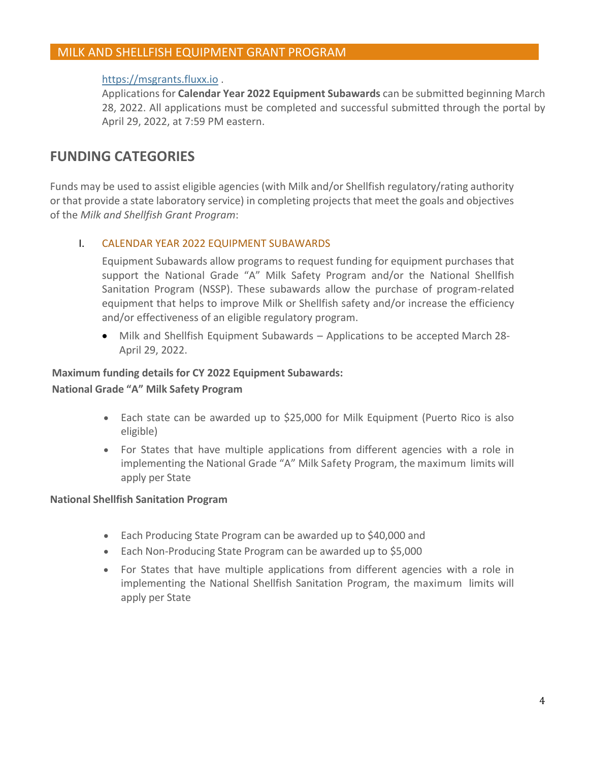# [https://msgrants.fluxx.io .](https://msgrants.fluxx.io/)

Applications for **Calendar Year 2022 Equipment Subawards** can be submitted beginning March 28, 2022. All applications must be completed and successful submitted through the portal by April 29, 2022, at 7:59 PM eastern.

# <span id="page-3-0"></span>**FUNDING CATEGORIES**

Funds may be used to assist eligible agencies (with Milk and/or Shellfish regulatory/rating authority or that provide a state laboratory service) in completing projects that meet the goals and objectives of the *Milk and Shellfish Grant Program*:

# <span id="page-3-1"></span>I. CALENDAR YEAR 2022 EQUIPMENT SUBAWARDS

Equipment Subawards allow programs to request funding for equipment purchases that support the National Grade "A" Milk Safety Program and/or the National Shellfish Sanitation Program (NSSP). These subawards allow the purchase of program-related equipment that helps to improve Milk or Shellfish safety and/or increase the efficiency and/or effectiveness of an eligible regulatory program.

• Milk and Shellfish Equipment Subawards – Applications to be accepted March 28- April 29, 2022.

# **Maximum funding details for CY 2022 Equipment Subawards:**

### **National Grade "A" Milk Safety Program**

- Each state can be awarded up to \$25,000 for Milk Equipment (Puerto Rico is also eligible)
- For States that have multiple applications from different agencies with a role in implementing the National Grade "A" Milk Safety Program, the maximum limits will apply per State

#### **National Shellfish Sanitation Program**

- Each Producing State Program can be awarded up to \$40,000 and
- Each Non-Producing State Program can be awarded up to \$5,000
- For States that have multiple applications from different agencies with a role in implementing the National Shellfish Sanitation Program, the maximum limits will apply per State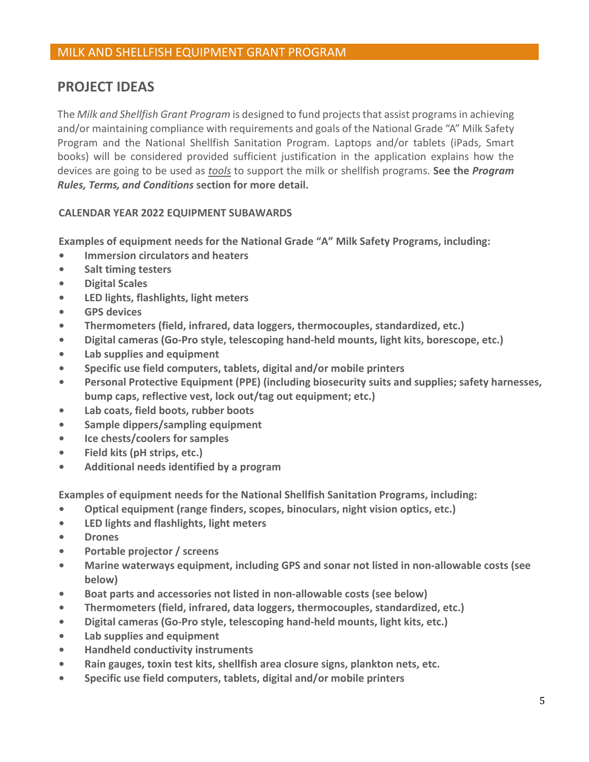# <span id="page-4-0"></span>**PROJECT IDEAS**

The *Milk and Shellfish Grant Program* is designed to fund projects that assist programs in achieving and/or maintaining compliance with requirements and goals of the National Grade "A" Milk Safety Program and the National Shellfish Sanitation Program. Laptops and/or tablets (iPads, Smart books) will be considered provided sufficient justification in the application explains how the devices are going to be used as *tools* to support the milk or shellfish programs. **See the** *Program Rules, Terms, and Conditions* **section for more detail.**

# **CALENDAR YEAR 2022 EQUIPMENT SUBAWARDS**

**Examples of equipment needs for the National Grade "A" Milk Safety Programs, including:**

- **Immersion circulators and heaters**
- **Salt timing testers**
- **Digital Scales**
- **LED lights, flashlights, light meters**
- **GPS devices**
- **Thermometers (field, infrared, data loggers, thermocouples, standardized, etc.)**
- **Digital cameras (Go-Pro style, telescoping hand-held mounts, light kits, borescope, etc.)**
- **Lab supplies and equipment**
- **Specific use field computers, tablets, digital and/or mobile printers**
- **Personal Protective Equipment (PPE) (including biosecurity suits and supplies; safety harnesses, bump caps, reflective vest, lock out/tag out equipment; etc.)**
- **Lab coats, field boots, rubber boots**
- **Sample dippers/sampling equipment**
- **Ice chests/coolers for samples**
- **Field kits (pH strips, etc.)**
- **Additional needs identified by a program**

**Examples of equipment needs for the National Shellfish Sanitation Programs, including:**

- **Optical equipment (range finders, scopes, binoculars, night vision optics, etc.)**
- **LED lights and flashlights, light meters**
- **Drones**
- **Portable projector / screens**
- **Marine waterways equipment, including GPS and sonar not listed in non-allowable costs (see below)**
- **Boat parts and accessories not listed in non-allowable costs (see below)**
- **Thermometers (field, infrared, data loggers, thermocouples, standardized, etc.)**
- **Digital cameras (Go-Pro style, telescoping hand-held mounts, light kits, etc.)**
- **Lab supplies and equipment**
- **Handheld conductivity instruments**
- **Rain gauges, toxin test kits, shellfish area closure signs, plankton nets, etc.**
- **Specific use field computers, tablets, digital and/or mobile printers**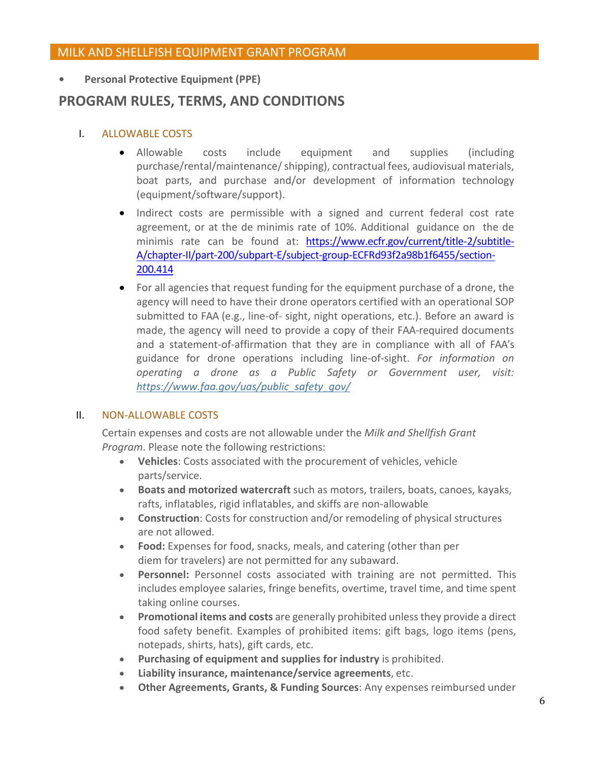**• Personal Protective Equipment (PPE)**

# <span id="page-5-0"></span>**PROGRAM RULES, TERMS, AND CONDITIONS**

# <span id="page-5-1"></span>I. ALLOWABLE COSTS

- Allowable costs include equipment and supplies (including purchase/rental/maintenance/ shipping), contractual fees, audiovisual materials, boat parts, and purchase and/or development of information technology (equipment/software/support).
- Indirect costs are permissible with a signed and current federal cost rate agreement, or at the de minimis rate of 10%. Additional guidance on the de minimis rate can be found at: [https://www.ecfr.gov/current/title-2/subtitle-](https://www.ecfr.gov/current/title-2/subtitle-A/chapter-II/part-200/subpart-E/subject-group-ECFRd93f2a98b1f6455/section-200.414)[A/chapter-II/part-200/subpart-E/subject-group-ECFRd93f2a98b1f6455/section-](https://www.ecfr.gov/current/title-2/subtitle-A/chapter-II/part-200/subpart-E/subject-group-ECFRd93f2a98b1f6455/section-200.414)[200.414](https://www.ecfr.gov/current/title-2/subtitle-A/chapter-II/part-200/subpart-E/subject-group-ECFRd93f2a98b1f6455/section-200.414)
- For all agencies that request funding for the equipment purchase of a drone, the agency will need to have their drone operators certified with an operational SOP submitted to FAA (e.g., line-of- sight, night operations, etc.). Before an award is made, the agency will need to provide a copy of their FAA-required documents and a statement-of-affirmation that they are in compliance with all of FAA's guidance for drone operations including line-of-sight. *For information on operating a drone as a Public Safety or Government user, [visit:](https://www.faa.gov/uas/public_safety_gov/) [https://www.faa.gov/uas/public\\_safety\\_gov/](https://www.faa.gov/uas/public_safety_gov/)*

# <span id="page-5-2"></span>II. NON-ALLOWABLE COSTS

Certain expenses and costs are not allowable under the *Milk and Shellfish Grant Program*. Please note the following restrictions:

- **Vehicles**: Costs associated with the procurement of vehicles, vehicle parts/service.
- **Boats and motorized watercraft** such as motors, trailers, boats, canoes, kayaks, rafts, inflatables, rigid inflatables, and skiffs are non-allowable
- **Construction**: Costs for construction and/or remodeling of physical structures are not allowed.
- **Food:** Expenses for food, snacks, meals, and catering (other than per diem for travelers) are not permitted for any subaward.
- **Personnel:** Personnel costs associated with training are not permitted. This includes employee salaries, fringe benefits, overtime, travel time, and time spent taking online courses.
- **Promotional items and costs** are generally prohibited unlessthey provide a direct food safety benefit. Examples of prohibited items: gift bags, logo items (pens, notepads, shirts, hats), gift cards, etc.
- **Purchasing of equipment and supplies for industry** is prohibited.
- **Liability insurance, maintenance/service agreements**, etc.
- **Other Agreements, Grants, & Funding Sources**: Any expenses reimbursed under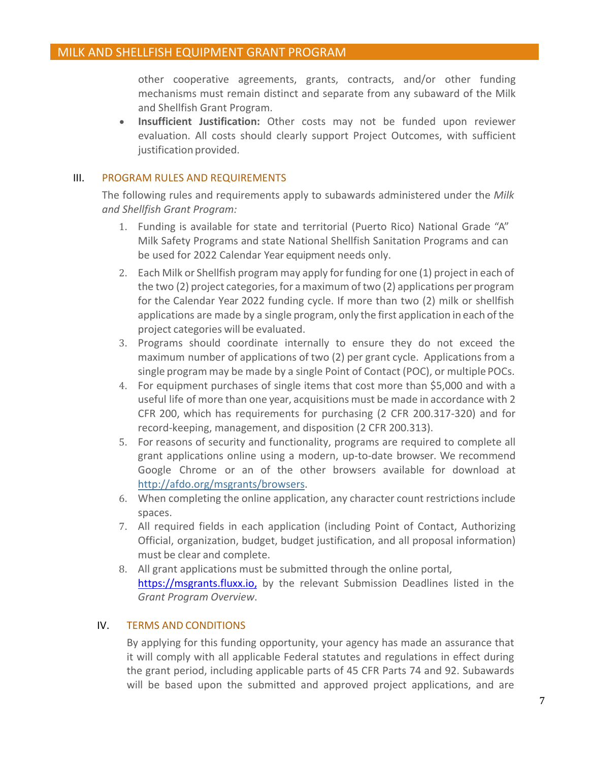other cooperative agreements, grants, contracts, and/or other funding mechanisms must remain distinct and separate from any subaward of the Milk and Shellfish Grant Program.

• **Insufficient Justification:** Other costs may not be funded upon reviewer evaluation. All costs should clearly support Project Outcomes, with sufficient justification provided.

### <span id="page-6-0"></span>III. PROGRAM RULES AND REQUIREMENTS

The following rules and requirements apply to subawards administered under the *Milk and Shellfish Grant Program:*

- 1. Funding is available for state and territorial (Puerto Rico) National Grade "A" Milk Safety Programs and state National Shellfish Sanitation Programs and can be used for 2022 Calendar Year equipment needs only.
- 2. Each Milk or Shellfish program may apply for funding for one (1) project in each of the two (2) project categories, for a maximum of two (2) applications per program for the Calendar Year 2022 funding cycle. If more than two (2) milk or shellfish applications are made by a single program, only the first application in each ofthe project categories will be evaluated.
- 3. Programs should coordinate internally to ensure they do not exceed the maximum number of applications of two (2) per grant cycle. Applications from a single program may be made by a single Point of Contact (POC), or multiple POCs.
- 4. For equipment purchases of single items that cost more than \$5,000 and with a useful life of more than one year, acquisitions must be made in accordance with 2 CFR 200, which has requirements for purchasing (2 CFR 200.317-320) and for record-keeping, management, and disposition (2 CFR 200.313).
- 5. For reasons of security and functionality, programs are required to complete all grant applications online using a modern, up-to-date browser. We recommend Google Chrome or an of the other browsers available for download a[t](http://afdo.org/msgrants/browsers) [http://afdo.org/msgrants/browsers.](http://afdo.org/msgrants/browsers)
- 6. When completing the online application, any character count restrictions include spaces.
- 7. All required fields in each application (including Point of Contact, Authorizing Official, organization, budget, budget justification, and all proposal information) must be clear and complete.
- 8. All grant applications must be submitted through the online portal, [https://msgrants.fluxx.io,](https://msgrants.fluxx.io,/) by the relevant Submission Deadlines listed in the *Grant Program Overview*.

# <span id="page-6-1"></span>IV. TERMS AND CONDITIONS

By applying for this funding opportunity, your agency has made an assurance that it will comply with all applicable Federal statutes and regulations in effect during the grant period, including applicable parts of 45 CFR Parts 74 and 92. Subawards will be based upon the submitted and approved project applications, and are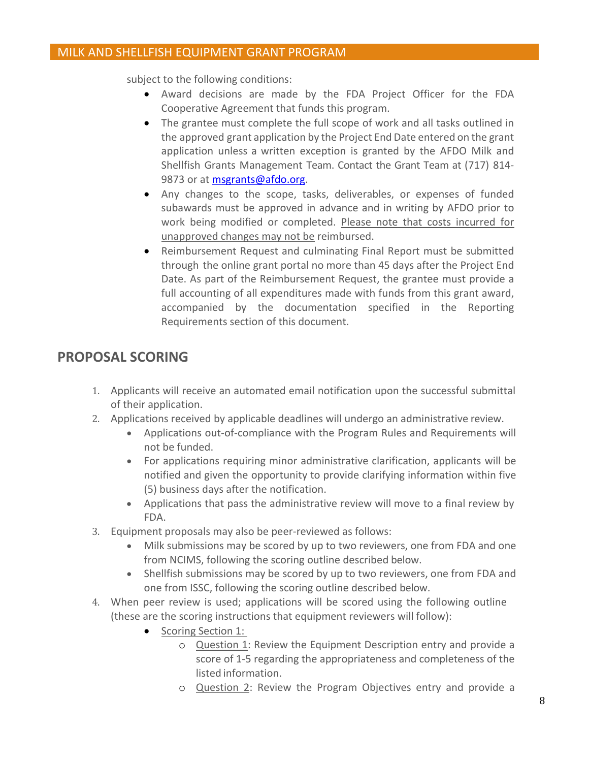subject to the following conditions:

- Award decisions are made by the FDA Project Officer for the FDA Cooperative Agreement that funds this program.
- The grantee must complete the full scope of work and all tasks outlined in the approved grant application by the Project End Date entered on the grant application unless a written exception is granted by the AFDO Milk and Shellfish Grants Management Team. Contact the Grant Team at (717) 814- 9873 or at **msgrants@afdo.org**.
- Any changes to the scope, tasks, deliverables, or expenses of funded subawards must be approved in advance and in writing by AFDO prior to work being modified or completed. Please note that costs incurred for unapproved changes may not be reimbursed.
- Reimbursement Request and culminating Final Report must be submitted through the online grant portal no more than 45 days after the Project End Date. As part of the Reimbursement Request, the grantee must provide a full accounting of all expenditures made with funds from this grant award, accompanied by the documentation specified in the Reporting Requirements section of this document.

# <span id="page-7-0"></span>**PROPOSAL SCORING**

- 1. Applicants will receive an automated email notification upon the successful submittal of their application.
- 2. Applications received by applicable deadlines will undergo an administrative review.
	- Applications out-of-compliance with the Program Rules and Requirements will not be funded.
	- For applications requiring minor administrative clarification, applicants will be notified and given the opportunity to provide clarifying information within five (5) business days after the notification.
	- Applications that pass the administrative review will move to a final review by FDA.
- 3. Equipment proposals may also be peer-reviewed as follows:
	- Milk submissions may be scored by up to two reviewers, one from FDA and one from NCIMS, following the scoring outline described below.
	- Shellfish submissions may be scored by up to two reviewers, one from FDA and one from ISSC, following the scoring outline described below.
- 4. When peer review is used; applications will be scored using the following outline (these are the scoring instructions that equipment reviewers will follow):
	- Scoring Section 1:
		- o Question 1: Review the Equipment Description entry and provide a score of 1-5 regarding the appropriateness and completeness of the listed information.
		- o Question 2: Review the Program Objectives entry and provide a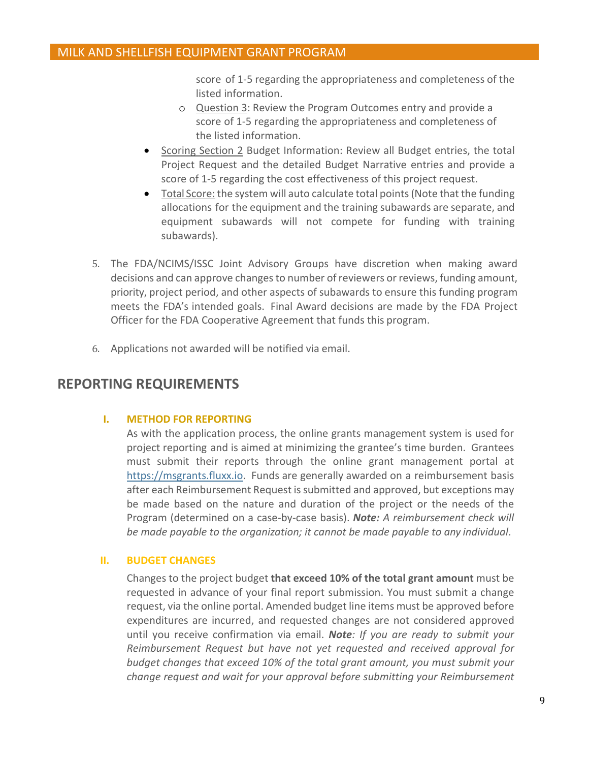score of 1-5 regarding the appropriateness and completeness of the listed information.

- o Question 3: Review the Program Outcomes entry and provide a score of 1-5 regarding the appropriateness and completeness of the listed information.
- Scoring Section 2 Budget Information: Review all Budget entries, the total Project Request and the detailed Budget Narrative entries and provide a score of 1-5 regarding the cost effectiveness of this project request.
- Total Score: the system will auto calculate total points (Note that the funding allocations for the equipment and the training subawards are separate, and equipment subawards will not compete for funding with training subawards).
- 5. The FDA/NCIMS/ISSC Joint Advisory Groups have discretion when making award decisions and can approve changes to number of reviewers or reviews, funding amount, priority, project period, and other aspects of subawards to ensure this funding program meets the FDA's intended goals. Final Award decisions are made by the FDA Project Officer for the FDA Cooperative Agreement that funds this program.
- 6. Applications not awarded will be notified via email.

# <span id="page-8-1"></span><span id="page-8-0"></span>**REPORTING REQUIREMENTS**

# **I. METHOD FOR REPORTING**

As with the application process, the online grants management system is used for project reporting and is aimed at minimizing the grantee's time burden. Grantees must submit their reports through the online grant management portal at [https://msgrants.fluxx.io.](https://msgrants.fluxx.io/) Funds are generally awarded on a reimbursement basis after each Reimbursement Request is submitted and approved, but exceptions may be made based on the nature and duration of the project or the needs of the Program (determined on a case-by-case basis). *Note: A reimbursement check will be made payable to the organization; it cannot be made payable to any individual*.

#### <span id="page-8-2"></span>**II. BUDGET CHANGES**

Changes to the project budget **that exceed 10% of the total grant amount** must be requested in advance of your final report submission. You must submit a change request, via the online portal. Amended budget line items must be approved before expenditures are incurred, and requested changes are not considered approved until you receive confirmation via email. *Note: If you are ready to submit your Reimbursement Request but have not yet requested and received approval for budget changes that exceed 10% of the total grant amount, you must submit your change request and wait for your approval before submitting your Reimbursement*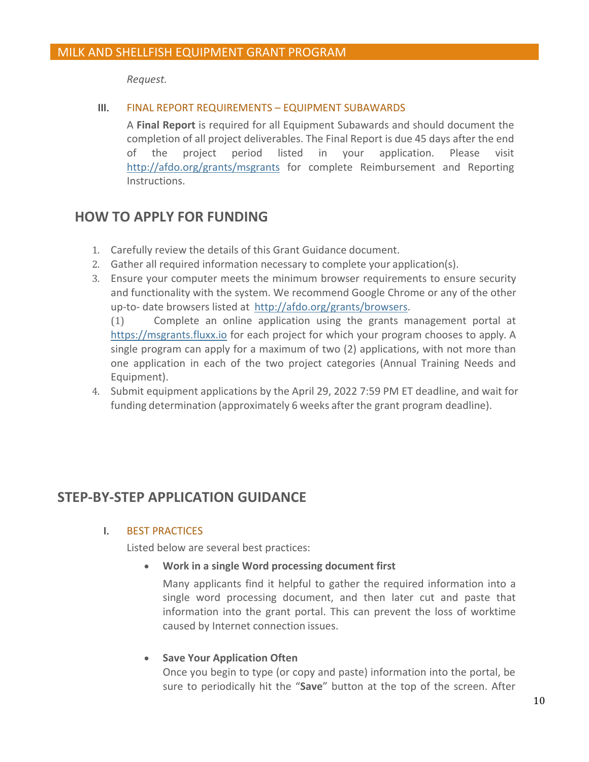*Request.*

# III. FINAL REPORT REQUIREMENTS – EQUIPMENT SUBAWARDS

A **Final Report** is required for all Equipment Subawards and should document the completion of all project deliverables. The Final Report is due 45 days after the end of the project period listed in your application. Please visit [http://afdo.org/grants/msgrants f](http://afdo.org/grants/msgrants)or complete Reimbursement and Reporting Instructions.

# <span id="page-9-0"></span>**HOW TO APPLY FOR FUNDING**

- 1. Carefully review the details of this Grant Guidance document.
- 2. Gather all required information necessary to complete your application(s).
- 3. Ensure your computer meets the minimum browser requirements to ensure security and functionality with the system. We recommend Google Chrome or any of the other up-to- date browsers listed at [http://afdo.org/grants/browsers.](http://afdo.org/msgrants/browsers)

(1) Complete an online application using the grants management portal at [https://msgrants.fluxx.io](https://msgrants.fluxx.io/) for each project for which your program chooses to apply. A single program can apply for a maximum of two (2) applications, with not more than one application in each of the two project categories (Annual Training Needs and Equipment).

4. Submit equipment applications by the April 29, 2022 7:59 PM ET deadline, and wait for funding determination (approximately 6 weeks after the grant program deadline).

# <span id="page-9-2"></span><span id="page-9-1"></span>**STEP-BY-STEP APPLICATION GUIDANCE**

# I. BEST PRACTICES

Listed below are several best practices:

• **Work in a single Word processing document first**

Many applicants find it helpful to gather the required information into a single word processing document, and then later cut and paste that information into the grant portal. This can prevent the loss of worktime caused by Internet connection issues.

# • **Save Your Application Often**

Once you begin to type (or copy and paste) information into the portal, be sure to periodically hit the "**Save**" button at the top of the screen. After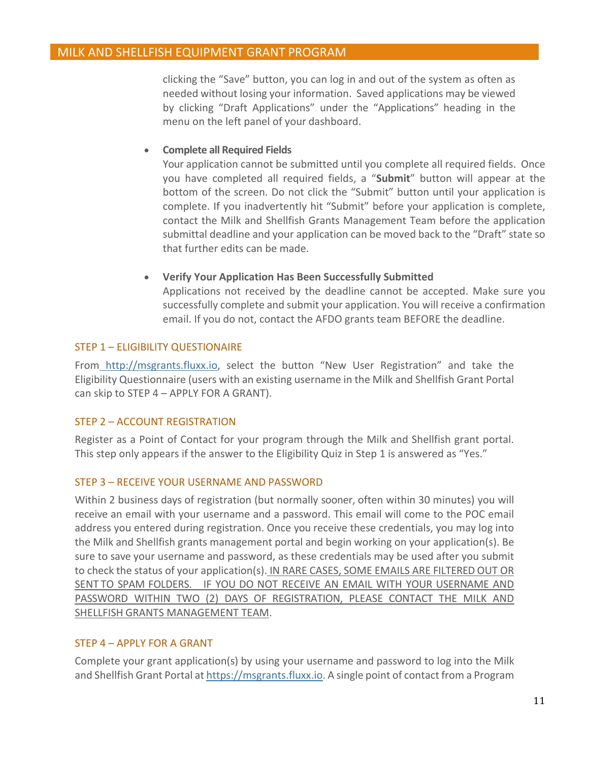clicking the "Save" button, you can log in and out of the system as often as needed without losing your information. Saved applications may be viewed by clicking "Draft Applications" under the "Applications" heading in the menu on the left panel of your dashboard.

# • **Complete all Required Fields**

Your application cannot be submitted until you complete all required fields. Once you have completed all required fields, a "**Submit**" button will appear at the bottom of the screen. Do not click the "Submit" button until your application is complete. If you inadvertently hit "Submit" before your application is complete, contact the Milk and Shellfish Grants Management Team before the application submittal deadline and your application can be moved back to the "Draft" state so that further edits can be made.

#### • **Verify Your Application Has Been Successfully Submitted**

Applications not received by the deadline cannot be accepted. Make sure you successfully complete and submit your application. You will receive a confirmation email. If you do not, contact the AFDO grants team BEFORE the deadline.

#### <span id="page-10-0"></span>STEP 1 – ELIGIBILITY QUESTIONAIRE

Fro[m http://msgrants.fluxx.io, s](http://msgrants.fluxx.io/)elect the button "New User Registration" and take the Eligibility Questionnaire (users with an existing username in the Milk and Shellfish Grant Portal can skip to STEP 4 – APPLY FOR A GRANT).

# <span id="page-10-1"></span>STEP 2 – ACCOUNT REGISTRATION

Register as a Point of Contact for your program through the Milk and Shellfish grant portal. This step only appears if the answer to the Eligibility Quiz in Step 1 is answered as "Yes."

# <span id="page-10-2"></span>STEP 3 – RECEIVE YOUR USERNAME AND PASSWORD

Within 2 business days of registration (but normally sooner, often within 30 minutes) you will receive an email with your username and a password. This email will come to the POC email address you entered during registration. Once you receive these credentials, you may log into the Milk and Shellfish grants management portal and begin working on your application(s). Be sure to save your username and password, as these credentials may be used after you submit to check the status of your application(s). IN RARE CASES, SOME EMAILS ARE FILTERED OUT OR SENT TO SPAM FOLDERS. IF YOU DO NOT RECEIVE AN EMAIL WITH YOUR USERNAME AND PASSWORD WITHIN TWO (2) DAYS OF REGISTRATION, PLEASE CONTACT THE MILK AND SHELLFISH GRANTS MANAGEMENT TEAM.

#### <span id="page-10-3"></span>STEP 4 – APPLY FOR A GRANT

Complete your grant application(s) by using your username and password to log into the Milk and Shellfish Grant Portal a[t https://msgrants.fluxx.io.](https://msgrants.fluxx.io/) A single point of contact from a Program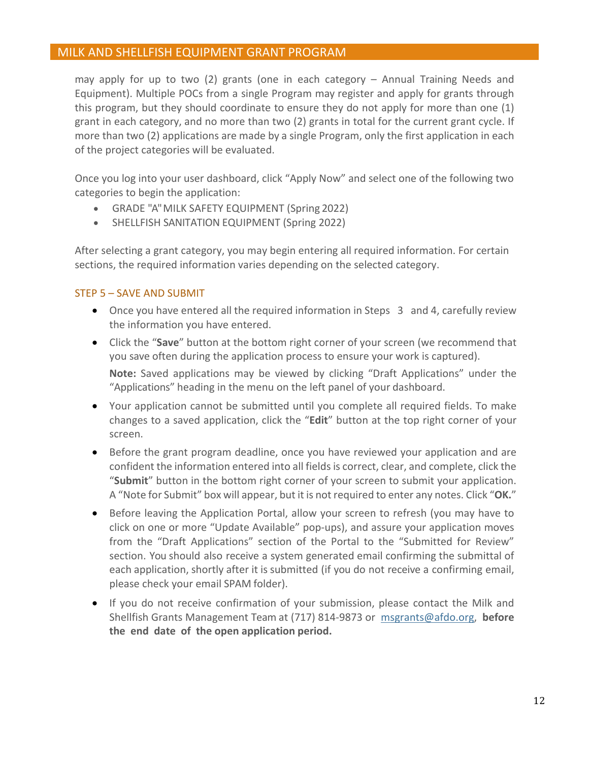may apply for up to two (2) grants (one in each category – Annual Training Needs and Equipment). Multiple POCs from a single Program may register and apply for grants through this program, but they should coordinate to ensure they do not apply for more than one (1) grant in each category, and no more than two (2) grants in total for the current grant cycle. If more than two (2) applications are made by a single Program, only the first application in each of the project categories will be evaluated.

Once you log into your user dashboard, click "Apply Now" and select one of the following two categories to begin the application:

- GRADE "A" MILK SAFETY EQUIPMENT (Spring 2022)
- SHELLFISH SANITATION EQUIPMENT (Spring 2022)

After selecting a grant category, you may begin entering all required information. For certain sections, the required information varies depending on the selected category.

# <span id="page-11-0"></span>STEP 5 – SAVE AND SUBMIT

- Once you have entered all the required information in Steps 3 and 4, carefully review the information you have entered.
- Click the "**Save**" button at the bottom right corner of your screen (we recommend that you save often during the application process to ensure your work is captured). **Note:** Saved applications may be viewed by clicking "Draft Applications" under the "Applications" heading in the menu on the left panel of your dashboard.
- Your application cannot be submitted until you complete all required fields. To make changes to a saved application, click the "**Edit**" button at the top right corner of your screen.
- Before the grant program deadline, once you have reviewed your application and are confident the information entered into all fields is correct, clear, and complete, click the "**Submit**" button in the bottom right corner of your screen to submit your application. A "Note for Submit" box will appear, but it is not required to enter any notes. Click "**OK.**"
- Before leaving the Application Portal, allow your screen to refresh (you may have to click on one or more "Update Available" pop-ups), and assure your application moves from the "Draft Applications" section of the Portal to the "Submitted for Review" section. You should also receive a system generated email confirming the submittal of each application, shortly after it is submitted (if you do not receive a confirming email, please check your email SPAM folder).
- If you do not receive confirmation of your submission, please contact the Milk and Shellfish Grants Management Team at (717) 814-9873 or [msgrants@afdo.org,](mailto:msgrants@afdo.org) **before the end date of the open application period.**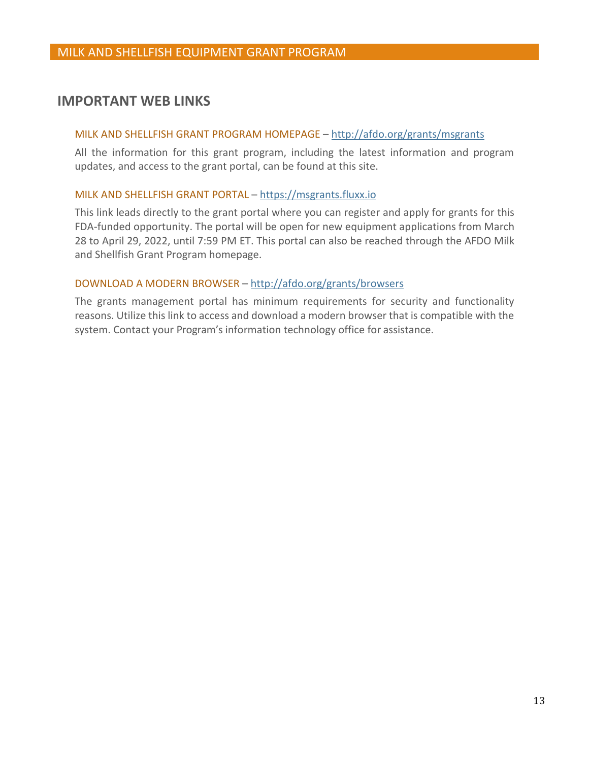# <span id="page-12-0"></span>**IMPORTANT WEB LINKS**

### MILK AND SHELLFISH GRANT PROGRAM HOMEPAGE – [http://afdo.org/grants/](http://afdo.org/msgrants)msgrants

All the information for this grant program, including the latest information and program updates, and access to the grant portal, can be found at this site.

#### MILK AND SHELLFISH GRANT PORTAL – [https://msgrants.fluxx.io](https://msgrants.fluxx.io/)

This link leads directly to the grant portal where you can register and apply for grants for this FDA-funded opportunity. The portal will be open for new equipment applications from March 28 to April 29, 2022, until 7:59 PM ET. This portal can also be reached through the AFDO Milk and Shellfish Grant Program homepage.

#### DOWNLOAD A MODERN BROWSER – [http://afdo.org/grants/browsers](http://afdo.org/msgrants/browsers)

The grants management portal has minimum requirements for security and functionality reasons. Utilize this link to access and download a modern browser that is compatible with the system. Contact your Program's information technology office for assistance.